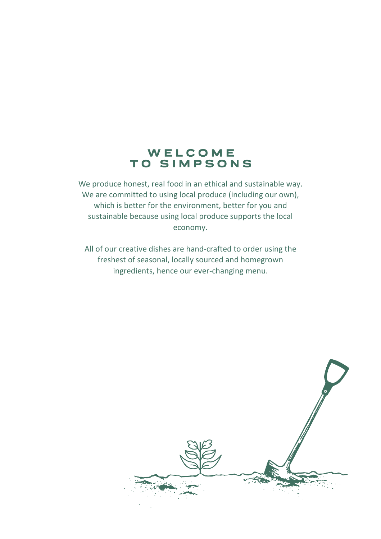## WELCOME TO SIMPSONS

We produce honest, real food in an ethical and sustainable way. We are committed to using local produce (including our own), which is better for the environment, better for you and sustainable because using local produce supports the local economy.

All of our creative dishes are hand-crafted to order using the freshest of seasonal, locally sourced and homegrown ingredients, hence our ever-changing menu.